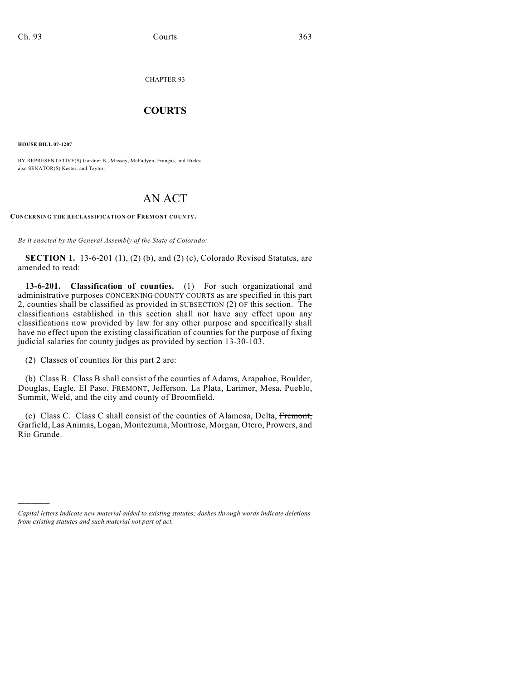CHAPTER 93

## $\mathcal{L}_\text{max}$  . The set of the set of the set of the set of the set of the set of the set of the set of the set of the set of the set of the set of the set of the set of the set of the set of the set of the set of the set **COURTS**  $\_$   $\_$   $\_$   $\_$   $\_$   $\_$   $\_$   $\_$

**HOUSE BILL 07-1207**

)))))

BY REPRESENTATIVE(S) Gardner B., Massey, McFadyen, Frangas, and Hicks; also SENATOR(S) Kester, and Taylor.

## AN ACT

**CONCERNING THE RECLASSIFICATION OF FREMONT COUNTY.**

*Be it enacted by the General Assembly of the State of Colorado:*

**SECTION 1.** 13-6-201 (1), (2) (b), and (2) (c), Colorado Revised Statutes, are amended to read:

**13-6-201. Classification of counties.** (1) For such organizational and administrative purposes CONCERNING COUNTY COURTS as are specified in this part 2, counties shall be classified as provided in SUBSECTION (2) OF this section. The classifications established in this section shall not have any effect upon any classifications now provided by law for any other purpose and specifically shall have no effect upon the existing classification of counties for the purpose of fixing judicial salaries for county judges as provided by section 13-30-103.

(2) Classes of counties for this part 2 are:

(b) Class B. Class B shall consist of the counties of Adams, Arapahoe, Boulder, Douglas, Eagle, El Paso, FREMONT, Jefferson, La Plata, Larimer, Mesa, Pueblo, Summit, Weld, and the city and county of Broomfield.

(c) Class C. Class C shall consist of the counties of Alamosa, Delta, Fremont, Garfield, Las Animas, Logan, Montezuma, Montrose, Morgan, Otero, Prowers, and Rio Grande.

*Capital letters indicate new material added to existing statutes; dashes through words indicate deletions from existing statutes and such material not part of act.*